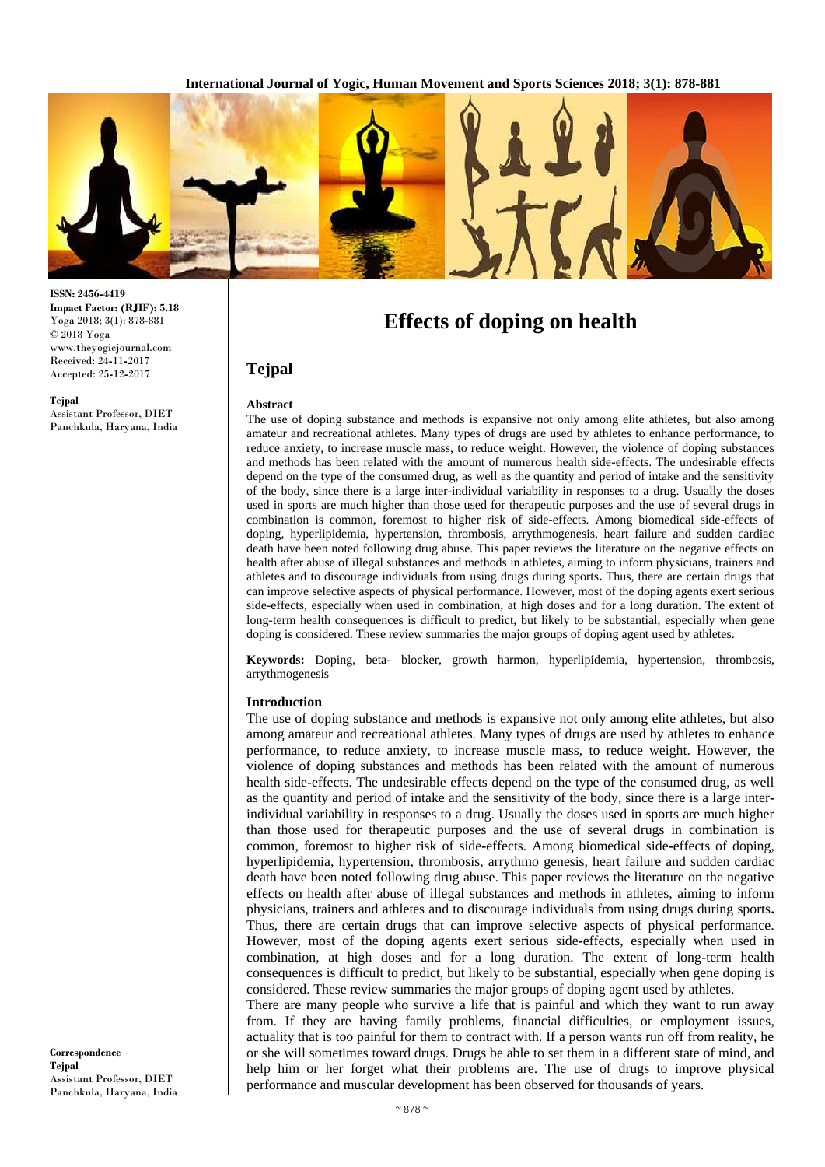

**ISSN: 2456-4419 Impact Factor: (RJIF): 5.18** Yoga 2018; 3(1): 878-881 © 2018 Yoga www.theyogicjournal.com Received: 24**-**11**-**2017 Accepted: 25**-**12**-**2017

#### **Tejpal**

Assistant Professor, DIET Panchkula, Haryana, India

# **Effects of doping on health**

# **Tejpal Abstract**

The use of doping substance and methods is expansive not only among elite athletes, but also among amateur and recreational athletes. Many types of drugs are used by athletes to enhance performance, to reduce anxiety, to increase muscle mass, to reduce weight. However, the violence of doping substances and methods has been related with the amount of numerous health side-effects. The undesirable effects depend on the type of the consumed drug, as well as the quantity and period of intake and the sensitivity of the body, since there is a large inter-individual variability in responses to a drug. Usually the doses used in sports are much higher than those used for therapeutic purposes and the use of several drugs in combination is common, foremost to higher risk of side-effects. Among biomedical side-effects of doping, hyperlipidemia, hypertension, thrombosis, arrythmogenesis, heart failure and sudden cardiac death have been noted following drug abuse. This paper reviews the literature on the negative effects on health after abuse of illegal substances and methods in athletes, aiming to inform physicians, trainers and athletes and to discourage individuals from using drugs during sports**.** Thus, there are certain drugs that can improve selective aspects of physical performance. However, most of the doping agents exert serious side-effects, especially when used in combination, at high doses and for a long duration. The extent of long-term health consequences is difficult to predict, but likely to be substantial, especially when gene doping is considered. These review summaries the major groups of doping agent used by athletes.

**Keywords:** Doping, beta- blocker, growth harmon, hyperlipidemia, hypertension, thrombosis, arrythmogenesis

#### **Introduction**

The use of doping substance and methods is expansive not only among elite athletes, but also among amateur and recreational athletes. Many types of drugs are used by athletes to enhance performance, to reduce anxiety, to increase muscle mass, to reduce weight. However, the violence of doping substances and methods has been related with the amount of numerous health side**-**effects. The undesirable effects depend on the type of the consumed drug, as well as the quantity and period of intake and the sensitivity of the body, since there is a large interindividual variability in responses to a drug. Usually the doses used in sports are much higher than those used for therapeutic purposes and the use of several drugs in combination is common, foremost to higher risk of side**-**effects. Among biomedical side**-**effects of doping, hyperlipidemia, hypertension, thrombosis, arrythmo genesis, heart failure and sudden cardiac death have been noted following drug abuse. This paper reviews the literature on the negative effects on health after abuse of illegal substances and methods in athletes, aiming to inform physicians, trainers and athletes and to discourage individuals from using drugs during sports**.**  Thus, there are certain drugs that can improve selective aspects of physical performance. However, most of the doping agents exert serious side**-**effects, especially when used in combination, at high doses and for a long duration. The extent of long**-**term health consequences is difficult to predict, but likely to be substantial, especially when gene doping is considered. These review summaries the major groups of doping agent used by athletes.

There are many people who survive a life that is painful and which they want to run away from. If they are having family problems, financial difficulties, or employment issues, actuality that is too painful for them to contract with. If a person wants run off from reality, he or she will sometimes toward drugs. Drugs be able to set them in a different state of mind, and help him or her forget what their problems are. The use of drugs to improve physical performance and muscular development has been observed for thousands of years.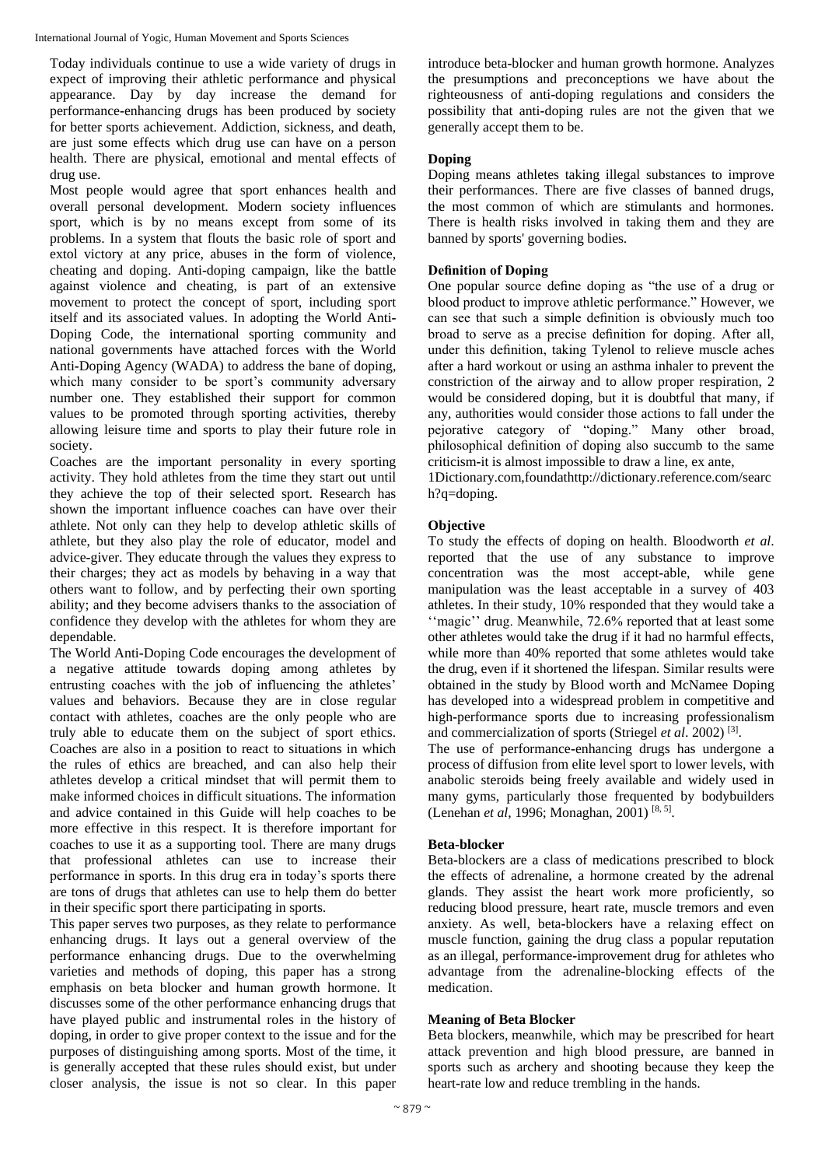International Journal of Yogic, Human Movement and Sports Sciences

Today individuals continue to use a wide variety of drugs in expect of improving their athletic performance and physical appearance. Day by day increase the demand for performance**-**enhancing drugs has been produced by society for better sports achievement. Addiction, sickness, and death, are just some effects which drug use can have on a person health. There are physical, emotional and mental effects of drug use.

Most people would agree that sport enhances health and overall personal development. Modern society influences sport, which is by no means except from some of its problems. In a system that flouts the basic role of sport and extol victory at any price, abuses in the form of violence, cheating and doping. Anti**-**doping campaign, like the battle against violence and cheating, is part of an extensive movement to protect the concept of sport, including sport itself and its associated values. In adopting the World Anti**-**Doping Code, the international sporting community and national governments have attached forces with the World Anti**-**Doping Agency (WADA) to address the bane of doping, which many consider to be sport's community adversary number one. They established their support for common values to be promoted through sporting activities, thereby allowing leisure time and sports to play their future role in society.

Coaches are the important personality in every sporting activity. They hold athletes from the time they start out until they achieve the top of their selected sport. Research has shown the important influence coaches can have over their athlete. Not only can they help to develop athletic skills of athlete, but they also play the role of educator, model and advice**-**giver. They educate through the values they express to their charges; they act as models by behaving in a way that others want to follow, and by perfecting their own sporting ability; and they become advisers thanks to the association of confidence they develop with the athletes for whom they are dependable.

The World Anti**-**Doping Code encourages the development of a negative attitude towards doping among athletes by entrusting coaches with the job of influencing the athletes' values and behaviors. Because they are in close regular contact with athletes, coaches are the only people who are truly able to educate them on the subject of sport ethics. Coaches are also in a position to react to situations in which the rules of ethics are breached, and can also help their athletes develop a critical mindset that will permit them to make informed choices in difficult situations. The information and advice contained in this Guide will help coaches to be more effective in this respect. It is therefore important for coaches to use it as a supporting tool. There are many drugs that professional athletes can use to increase their performance in sports. In this drug era in today's sports there are tons of drugs that athletes can use to help them do better in their specific sport there participating in sports.

This paper serves two purposes, as they relate to performance enhancing drugs. It lays out a general overview of the performance enhancing drugs. Due to the overwhelming varieties and methods of doping, this paper has a strong emphasis on beta blocker and human growth hormone. It discusses some of the other performance enhancing drugs that have played public and instrumental roles in the history of doping, in order to give proper context to the issue and for the purposes of distinguishing among sports. Most of the time, it is generally accepted that these rules should exist, but under closer analysis, the issue is not so clear. In this paper introduce beta**-**blocker and human growth hormone. Analyzes the presumptions and preconceptions we have about the righteousness of anti**-**doping regulations and considers the possibility that anti**-**doping rules are not the given that we generally accept them to be.

### **Doping**

Doping means athletes taking illegal substances to improve their performances. There are five classes of banned drugs, the most common of which are stimulants and hormones. There is health risks involved in taking them and they are banned by sports' governing bodies.

# **Definition of Doping**

One popular source define doping as "the use of a drug or blood product to improve athletic performance." However, we can see that such a simple definition is obviously much too broad to serve as a precise definition for doping. After all, under this definition, taking Tylenol to relieve muscle aches after a hard workout or using an asthma inhaler to prevent the constriction of the airway and to allow proper respiration, 2 would be considered doping, but it is doubtful that many, if any, authorities would consider those actions to fall under the pejorative category of "doping." Many other broad, philosophical definition of doping also succumb to the same criticism**-**it is almost impossible to draw a line, ex ante,

1Dictionary.com,foundathttp://dictionary.reference.com/searc h?q=doping.

# **Objective**

To study the effects of doping on health. Bloodworth *et al*. reported that the use of any substance to improve concentration was the most accept**-**able, while gene manipulation was the least acceptable in a survey of 403 athletes. In their study, 10% responded that they would take a ''magic'' drug. Meanwhile, 72.6% reported that at least some other athletes would take the drug if it had no harmful effects, while more than 40% reported that some athletes would take the drug, even if it shortened the lifespan. Similar results were obtained in the study by Blood worth and McNamee Doping has developed into a widespread problem in competitive and high**-**performance sports due to increasing professionalism and commercialization of sports (Striegel et al. 2002)<sup>[3]</sup>.

The use of performance**-**enhancing drugs has undergone a process of diffusion from elite level sport to lower levels, with anabolic steroids being freely available and widely used in many gyms, particularly those frequented by bodybuilders (Lenehan *et al*, 1996; Monaghan, 2001)<sup>[8, 5]</sup>.

### **Beta-blocker**

Beta**-**blockers are a class of medications prescribed to block the effects of adrenaline, a hormone created by the adrenal glands. They assist the heart work more proficiently, so reducing blood pressure, heart rate, muscle tremors and even anxiety. As well, beta**-**blockers have a relaxing effect on muscle function, gaining the drug class a popular reputation as an illegal, performance**-**improvement drug for athletes who advantage from the adrenaline**-**blocking effects of the medication.

### **Meaning of Beta Blocker**

Beta blockers, meanwhile, which may be prescribed for heart attack prevention and high blood pressure, are banned in sports such as archery and shooting because they keep the heart**-**rate low and reduce trembling in the hands.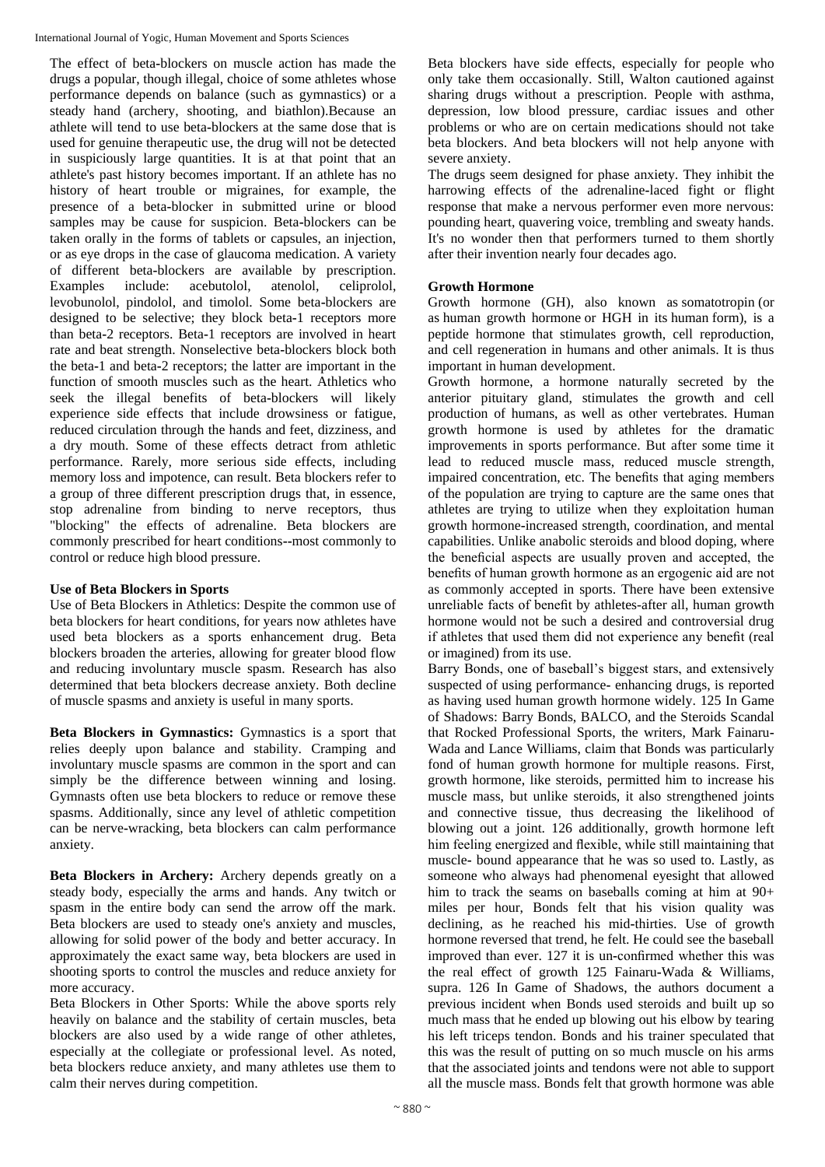International Journal of Yogic, Human Movement and Sports Sciences

The effect of beta**-**blockers on muscle action has made the drugs a popular, though illegal, choice of some athletes whose performance depends on balance (such as gymnastics) or a steady hand (archery, shooting, and biathlon).Because an athlete will tend to use beta**-**blockers at the same dose that is used for genuine therapeutic use, the drug will not be detected in suspiciously large quantities. It is at that point that an athlete's past history becomes important. If an athlete has no history of heart trouble or migraines, for example, the presence of a beta**-**blocker in submitted urine or blood samples may be cause for suspicion. Beta**-**blockers can be taken orally in the forms of tablets or capsules, an injection, or as eye drops in the case of glaucoma medication. A variety of different beta**-**blockers are available by prescription. Examples include: acebutolol, atenolol, celiprolol, levobunolol, pindolol, and timolol. Some beta**-**blockers are designed to be selective; they block beta**-**1 receptors more than beta**-**2 receptors. Beta**-**1 receptors are involved in heart rate and beat strength. Nonselective beta**-**blockers block both the beta**-**1 and beta**-**2 receptors; the latter are important in the function of smooth muscles such as the heart. Athletics who seek the illegal benefits of beta**-**blockers will likely experience side effects that include drowsiness or fatigue, reduced circulation through the hands and feet, dizziness, and a dry mouth. Some of these effects detract from athletic performance. Rarely, more serious side effects, including memory loss and impotence, can result. Beta blockers refer to a group of three different prescription drugs that, in essence, stop adrenaline from binding to nerve receptors, thus "blocking" the effects of adrenaline. Beta blockers are commonly prescribed for heart conditions**--**most commonly to control or reduce high blood pressure.

# **Use of Beta Blockers in Sports**

Use of Beta Blockers in Athletics: Despite the common use of beta blockers for heart conditions, for years now athletes have used beta blockers as a sports enhancement drug. Beta blockers broaden the arteries, allowing for greater blood flow and reducing involuntary muscle spasm. Research has also determined that beta blockers decrease anxiety. Both decline of muscle spasms and anxiety is useful in many sports.

**Beta Blockers in Gymnastics:** Gymnastics is a sport that relies deeply upon balance and stability. Cramping and involuntary muscle spasms are common in the sport and can simply be the difference between winning and losing. Gymnasts often use beta blockers to reduce or remove these spasms. Additionally, since any level of athletic competition can be nerve**-**wracking, beta blockers can calm performance anxiety.

**Beta Blockers in Archery:** Archery depends greatly on a steady body, especially the arms and hands. Any twitch or spasm in the entire body can send the arrow off the mark. Beta blockers are used to steady one's anxiety and muscles, allowing for solid power of the body and better accuracy. In approximately the exact same way, beta blockers are used in shooting sports to control the muscles and reduce anxiety for more accuracy.

Beta Blockers in Other Sports: While the above sports rely heavily on balance and the stability of certain muscles, beta blockers are also used by a wide range of other athletes, especially at the collegiate or professional level. As noted, beta blockers reduce anxiety, and many athletes use them to calm their nerves during competition.

Beta blockers have side effects, especially for people who only take them occasionally. Still, Walton cautioned against sharing drugs without a prescription. People with asthma, depression, low blood pressure, cardiac issues and other problems or who are on certain medications should not take beta blockers. And beta blockers will not help anyone with severe anxiety.

The drugs seem designed for phase anxiety. They inhibit the harrowing effects of the adrenaline**-**laced fight or flight response that make a nervous performer even more nervous: pounding heart, quavering voice, trembling and sweaty hands. It's no wonder then that performers turned to them shortly after their invention nearly four decades ago.

# **Growth Hormone**

Growth hormone (GH), also known as somatotropin (or as human growth hormone or HGH in its human form), is a peptide hormone that stimulates growth, cell reproduction, and cell regeneration in humans and other animals. It is thus important in human development.

Growth hormone, a hormone naturally secreted by the anterior pituitary gland, stimulates the growth and cell production of humans, as well as other vertebrates. Human growth hormone is used by athletes for the dramatic improvements in sports performance. But after some time it lead to reduced muscle mass, reduced muscle strength, impaired concentration, etc. The benefits that aging members of the population are trying to capture are the same ones that athletes are trying to utilize when they exploitation human growth hormone**-**increased strength, coordination, and mental capabilities. Unlike anabolic steroids and blood doping, where the beneficial aspects are usually proven and accepted, the benefits of human growth hormone as an ergogenic aid are not as commonly accepted in sports. There have been extensive unreliable facts of benefit by athletes-after all, human growth hormone would not be such a desired and controversial drug if athletes that used them did not experience any benefit (real or imagined) from its use.

Barry Bonds, one of baseball's biggest stars, and extensively suspected of using performance**-** enhancing drugs, is reported as having used human growth hormone widely. 125 In Game of Shadows: Barry Bonds, BALCO, and the Steroids Scandal that Rocked Professional Sports, the writers, Mark Fainaru**-**Wada and Lance Williams, claim that Bonds was particularly fond of human growth hormone for multiple reasons. First, growth hormone, like steroids, permitted him to increase his muscle mass, but unlike steroids, it also strengthened joints and connective tissue, thus decreasing the likelihood of blowing out a joint. 126 additionally, growth hormone left him feeling energized and flexible, while still maintaining that muscle**-** bound appearance that he was so used to. Lastly, as someone who always had phenomenal eyesight that allowed him to track the seams on baseballs coming at him at 90+ miles per hour, Bonds felt that his vision quality was declining, as he reached his mid**-**thirties. Use of growth hormone reversed that trend, he felt. He could see the baseball improved than ever. 127 it is un**-**confirmed whether this was the real effect of growth 125 Fainaru**-**Wada & Williams, supra. 126 In Game of Shadows, the authors document a previous incident when Bonds used steroids and built up so much mass that he ended up blowing out his elbow by tearing his left triceps tendon. Bonds and his trainer speculated that this was the result of putting on so much muscle on his arms that the associated joints and tendons were not able to support all the muscle mass. Bonds felt that growth hormone was able